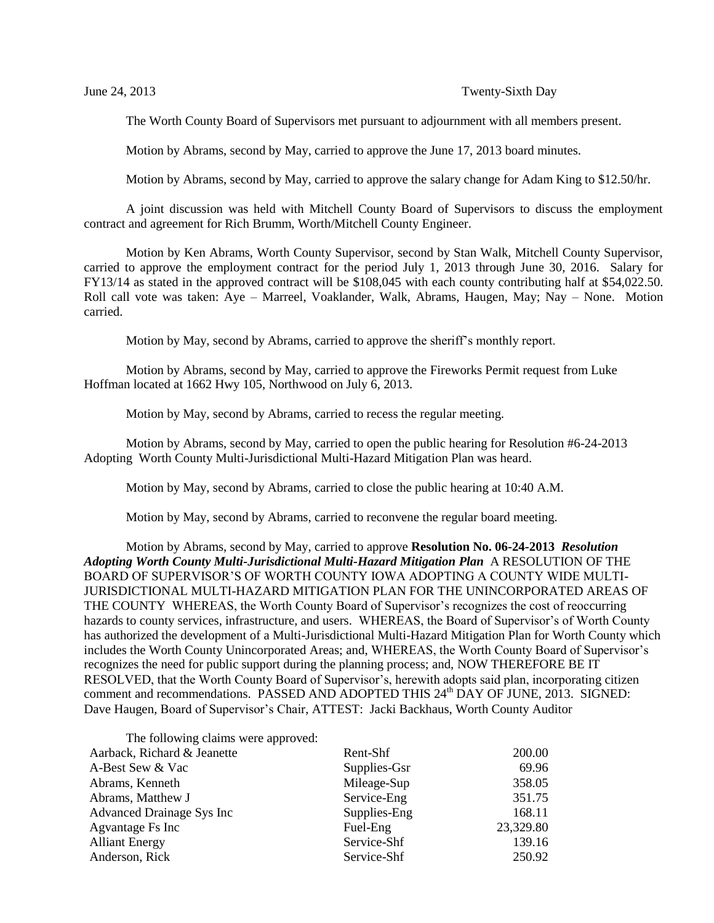The Worth County Board of Supervisors met pursuant to adjournment with all members present.

Motion by Abrams, second by May, carried to approve the June 17, 2013 board minutes.

Motion by Abrams, second by May, carried to approve the salary change for Adam King to \$12.50/hr.

A joint discussion was held with Mitchell County Board of Supervisors to discuss the employment contract and agreement for Rich Brumm, Worth/Mitchell County Engineer.

Motion by Ken Abrams, Worth County Supervisor, second by Stan Walk, Mitchell County Supervisor, carried to approve the employment contract for the period July 1, 2013 through June 30, 2016. Salary for FY13/14 as stated in the approved contract will be \$108,045 with each county contributing half at \$54,022.50. Roll call vote was taken: Aye – Marreel, Voaklander, Walk, Abrams, Haugen, May; Nay – None. Motion carried.

Motion by May, second by Abrams, carried to approve the sheriff's monthly report.

Motion by Abrams, second by May, carried to approve the Fireworks Permit request from Luke Hoffman located at 1662 Hwy 105, Northwood on July 6, 2013.

Motion by May, second by Abrams, carried to recess the regular meeting.

Motion by Abrams, second by May, carried to open the public hearing for Resolution #6-24-2013 Adopting Worth County Multi-Jurisdictional Multi-Hazard Mitigation Plan was heard.

Motion by May, second by Abrams, carried to close the public hearing at 10:40 A.M.

Motion by May, second by Abrams, carried to reconvene the regular board meeting.

Motion by Abrams, second by May, carried to approve **Resolution No. 06-24-2013** *Resolution Adopting Worth County Multi-Jurisdictional Multi-Hazard Mitigation Plan* A RESOLUTION OF THE BOARD OF SUPERVISOR'S OF WORTH COUNTY IOWA ADOPTING A COUNTY WIDE MULTI-JURISDICTIONAL MULTI-HAZARD MITIGATION PLAN FOR THE UNINCORPORATED AREAS OF THE COUNTY WHEREAS, the Worth County Board of Supervisor's recognizes the cost of reoccurring hazards to county services, infrastructure, and users. WHEREAS, the Board of Supervisor's of Worth County has authorized the development of a Multi-Jurisdictional Multi-Hazard Mitigation Plan for Worth County which includes the Worth County Unincorporated Areas; and, WHEREAS, the Worth County Board of Supervisor's recognizes the need for public support during the planning process; and, NOW THEREFORE BE IT RESOLVED, that the Worth County Board of Supervisor's, herewith adopts said plan, incorporating citizen comment and recommendations. PASSED AND ADOPTED THIS 24<sup>th</sup> DAY OF JUNE, 2013. SIGNED: Dave Haugen, Board of Supervisor's Chair, ATTEST: Jacki Backhaus, Worth County Auditor

The following claims were approved:

| Aarback, Richard & Jeanette | Rent-Shf     | 200.00    |
|-----------------------------|--------------|-----------|
| A-Best Sew & Vac            | Supplies-Gsr | 69.96     |
| Abrams, Kenneth             | Mileage-Sup  | 358.05    |
| Abrams, Matthew J           | Service-Eng  | 351.75    |
| Advanced Drainage Sys Inc   | Supplies-Eng | 168.11    |
| Agvantage Fs Inc            | Fuel-Eng     | 23,329.80 |
| <b>Alliant Energy</b>       | Service-Shf  | 139.16    |
| Anderson, Rick              | Service-Shf  | 250.92    |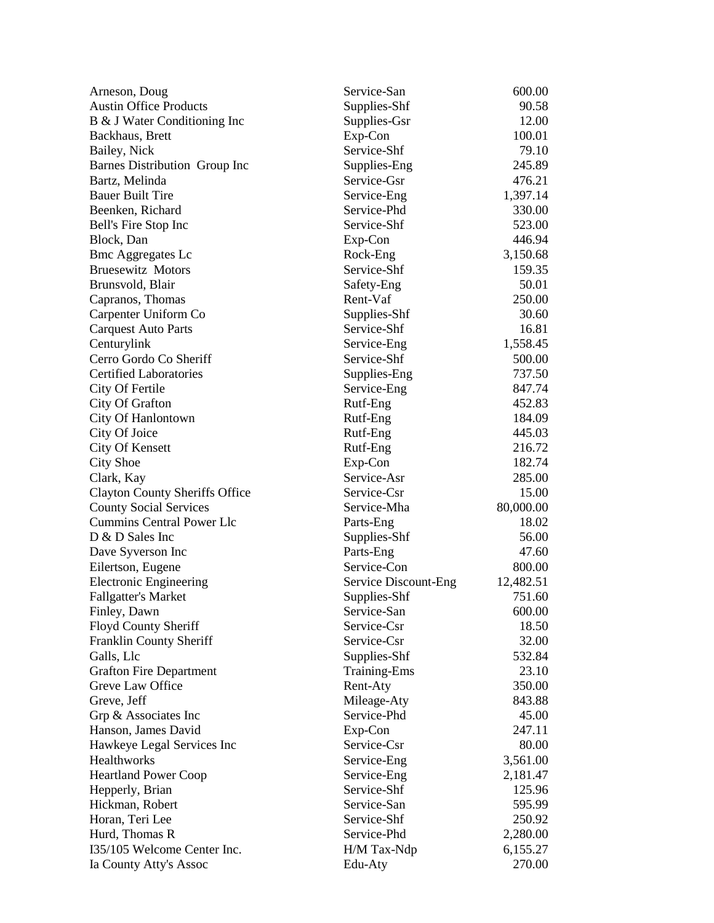| Arneson, Doug                         | Service-San          | 600.00    |
|---------------------------------------|----------------------|-----------|
| <b>Austin Office Products</b>         | Supplies-Shf         | 90.58     |
| B & J Water Conditioning Inc          | Supplies-Gsr         | 12.00     |
| Backhaus, Brett                       | Exp-Con              | 100.01    |
| Bailey, Nick                          | Service-Shf          | 79.10     |
| Barnes Distribution Group Inc         | Supplies-Eng         | 245.89    |
| Bartz, Melinda                        | Service-Gsr          | 476.21    |
| <b>Bauer Built Tire</b>               | Service-Eng          | 1,397.14  |
| Beenken, Richard                      | Service-Phd          | 330.00    |
| Bell's Fire Stop Inc                  | Service-Shf          | 523.00    |
| Block, Dan                            | Exp-Con              | 446.94    |
| <b>Bmc Aggregates Lc</b>              | Rock-Eng             | 3,150.68  |
| <b>Bruesewitz Motors</b>              | Service-Shf          | 159.35    |
| Brunsvold, Blair                      | Safety-Eng           | 50.01     |
| Capranos, Thomas                      | Rent-Vaf             | 250.00    |
| Carpenter Uniform Co                  | Supplies-Shf         | 30.60     |
| <b>Carquest Auto Parts</b>            | Service-Shf          | 16.81     |
| Centurylink                           | Service-Eng          | 1,558.45  |
| Cerro Gordo Co Sheriff                | Service-Shf          | 500.00    |
| <b>Certified Laboratories</b>         | Supplies-Eng         | 737.50    |
| City Of Fertile                       | Service-Eng          | 847.74    |
| City Of Grafton                       | Rutf-Eng             | 452.83    |
| City Of Hanlontown                    | Rutf-Eng             | 184.09    |
| City Of Joice                         | Rutf-Eng             | 445.03    |
| <b>City Of Kensett</b>                | Rutf-Eng             | 216.72    |
| <b>City Shoe</b>                      | Exp-Con              | 182.74    |
| Clark, Kay                            | Service-Asr          | 285.00    |
| <b>Clayton County Sheriffs Office</b> | Service-Csr          | 15.00     |
| <b>County Social Services</b>         | Service-Mha          | 80,000.00 |
| <b>Cummins Central Power Llc</b>      | Parts-Eng            | 18.02     |
| D & D Sales Inc                       | Supplies-Shf         | 56.00     |
| Dave Syverson Inc                     | Parts-Eng            | 47.60     |
| Eilertson, Eugene                     | Service-Con          | 800.00    |
| <b>Electronic Engineering</b>         | Service Discount-Eng | 12,482.51 |
| <b>Fallgatter's Market</b>            | Supplies-Shf         | 751.60    |
| Finley, Dawn                          | Service-San          | 600.00    |
| Floyd County Sheriff                  | Service-Csr          | 18.50     |
| Franklin County Sheriff               | Service-Csr          | 32.00     |
| Galls, Llc                            | Supplies-Shf         | 532.84    |
| <b>Grafton Fire Department</b>        | Training-Ems         | 23.10     |
| Greve Law Office                      | Rent-Aty             | 350.00    |
| Greve, Jeff                           | Mileage-Aty          | 843.88    |
| Grp & Associates Inc                  | Service-Phd          | 45.00     |
| Hanson, James David                   | Exp-Con              | 247.11    |
| Hawkeye Legal Services Inc            | Service-Csr          | 80.00     |
| Healthworks                           | Service-Eng          | 3,561.00  |
| <b>Heartland Power Coop</b>           | Service-Eng          | 2,181.47  |
| Hepperly, Brian                       | Service-Shf          | 125.96    |
| Hickman, Robert                       | Service-San          | 595.99    |
| Horan, Teri Lee                       | Service-Shf          | 250.92    |
| Hurd, Thomas R                        | Service-Phd          | 2,280.00  |
| I35/105 Welcome Center Inc.           | H/M Tax-Ndp          | 6,155.27  |
| Ia County Atty's Assoc                | Edu-Aty              | 270.00    |
|                                       |                      |           |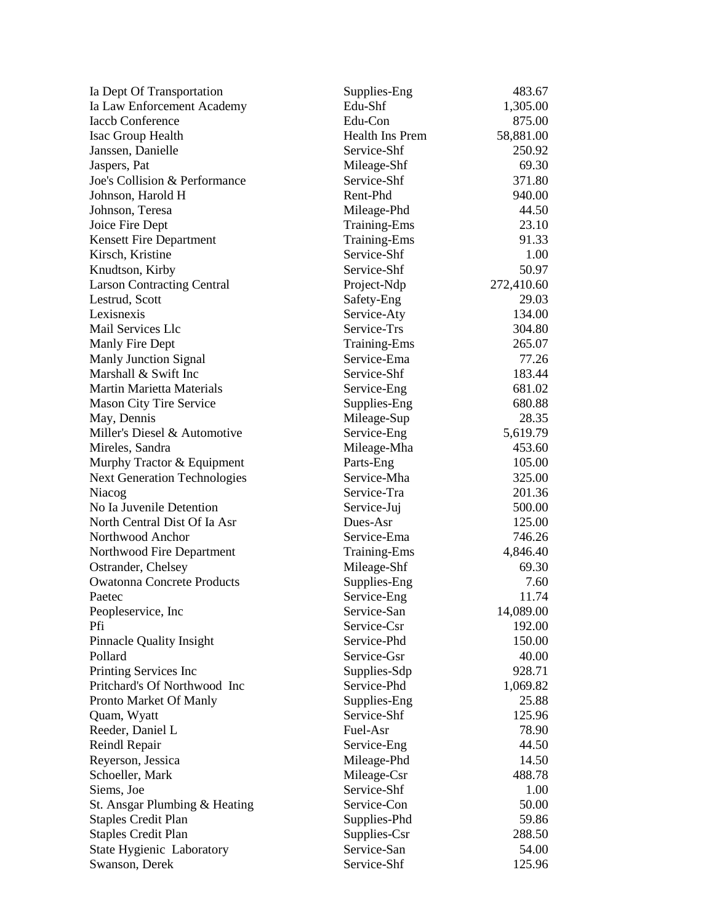| Ia Dept Of Transportation           | Supplies-Eng        | 483.67     |
|-------------------------------------|---------------------|------------|
| Ia Law Enforcement Academy          | Edu-Shf             | 1,305.00   |
| <b>Iaccb Conference</b>             | Edu-Con             | 875.00     |
| Isac Group Health                   | Health Ins Prem     | 58,881.00  |
| Janssen, Danielle                   | Service-Shf         | 250.92     |
| Jaspers, Pat                        | Mileage-Shf         | 69.30      |
| Joe's Collision & Performance       | Service-Shf         | 371.80     |
| Johnson, Harold H                   | Rent-Phd            | 940.00     |
| Johnson, Teresa                     | Mileage-Phd         | 44.50      |
| Joice Fire Dept                     | <b>Training-Ems</b> | 23.10      |
| <b>Kensett Fire Department</b>      | <b>Training-Ems</b> | 91.33      |
| Kirsch, Kristine                    | Service-Shf         | 1.00       |
| Knudtson, Kirby                     | Service-Shf         | 50.97      |
| <b>Larson Contracting Central</b>   | Project-Ndp         | 272,410.60 |
| Lestrud, Scott                      | Safety-Eng          | 29.03      |
| Lexisnexis                          | Service-Aty         | 134.00     |
| Mail Services Llc                   | Service-Trs         | 304.80     |
| Manly Fire Dept                     | <b>Training-Ems</b> | 265.07     |
| <b>Manly Junction Signal</b>        | Service-Ema         | 77.26      |
| Marshall & Swift Inc                | Service-Shf         | 183.44     |
| <b>Martin Marietta Materials</b>    | Service-Eng         | 681.02     |
| <b>Mason City Tire Service</b>      | Supplies-Eng        | 680.88     |
| May, Dennis                         | Mileage-Sup         | 28.35      |
| Miller's Diesel & Automotive        | Service-Eng         | 5,619.79   |
| Mireles, Sandra                     | Mileage-Mha         | 453.60     |
| Murphy Tractor & Equipment          | Parts-Eng           | 105.00     |
| <b>Next Generation Technologies</b> | Service-Mha         | 325.00     |
| Niacog                              | Service-Tra         | 201.36     |
| No Ia Juvenile Detention            | Service-Juj         | 500.00     |
| North Central Dist Of Ia Asr        | Dues-Asr            | 125.00     |
| Northwood Anchor                    | Service-Ema         | 746.26     |
| Northwood Fire Department           | <b>Training-Ems</b> | 4,846.40   |
| Ostrander, Chelsey                  | Mileage-Shf         | 69.30      |
| <b>Owatonna Concrete Products</b>   | Supplies-Eng        | 7.60       |
| Paetec                              | Service-Eng         | 11.74      |
| Peopleservice, Inc                  | Service-San         | 14,089.00  |
| Pfi                                 | Service-Csr         | 192.00     |
| <b>Pinnacle Quality Insight</b>     | Service-Phd         | 150.00     |
| Pollard                             | Service-Gsr         | 40.00      |
| Printing Services Inc               | Supplies-Sdp        | 928.71     |
| Pritchard's Of Northwood Inc        | Service-Phd         | 1,069.82   |
| Pronto Market Of Manly              | Supplies-Eng        | 25.88      |
| Quam, Wyatt                         | Service-Shf         | 125.96     |
| Reeder, Daniel L                    | Fuel-Asr            | 78.90      |
| Reindl Repair                       | Service-Eng         | 44.50      |
| Reyerson, Jessica                   | Mileage-Phd         | 14.50      |
| Schoeller, Mark                     | Mileage-Csr         | 488.78     |
| Siems, Joe                          | Service-Shf         | 1.00       |
| St. Ansgar Plumbing & Heating       | Service-Con         | 50.00      |
| <b>Staples Credit Plan</b>          | Supplies-Phd        | 59.86      |
| <b>Staples Credit Plan</b>          | Supplies-Csr        | 288.50     |
| State Hygienic Laboratory           | Service-San         | 54.00      |
| Swanson, Derek                      | Service-Shf         | 125.96     |